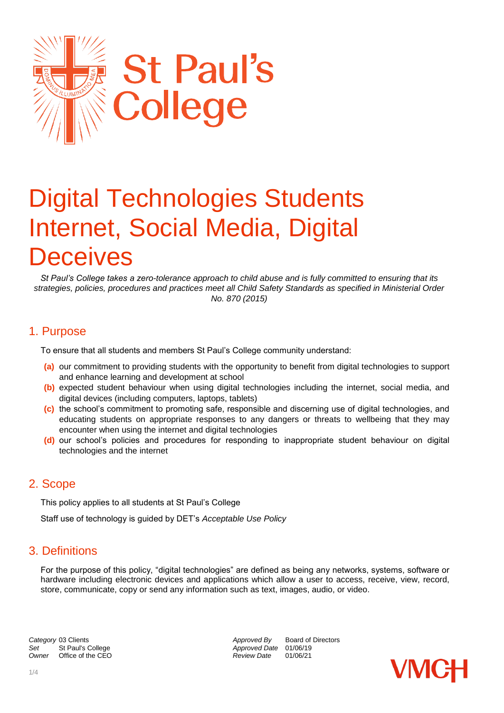

# Digital Technologies Students Internet, Social Media, Digital **Deceives**

*St Paul's College takes a zero-tolerance approach to child abuse and is fully committed to ensuring that its strategies, policies, procedures and practices meet all Child Safety Standards as specified in Ministerial Order No. 870 (2015)*

## 1. Purpose

To ensure that all students and members St Paul's College community understand:

- **(a)** our commitment to providing students with the opportunity to benefit from digital technologies to support and enhance learning and development at school
- **(b)** expected student behaviour when using digital technologies including the internet, social media, and digital devices (including computers, laptops, tablets)
- **(c)** the school's commitment to promoting safe, responsible and discerning use of digital technologies, and educating students on appropriate responses to any dangers or threats to wellbeing that they may encounter when using the internet and digital technologies
- **(d)** our school's policies and procedures for responding to inappropriate student behaviour on digital technologies and the internet

### 2. Scope

This policy applies to all students at St Paul's College

Staff use of technology is guided by DET's *Acceptable Use Policy* 

## 3. Definitions

For the purpose of this policy, "digital technologies" are defined as being any networks, systems, software or hardware including electronic devices and applications which allow a user to access, receive, view, record, store, communicate, copy or send any information such as text, images, audio, or video.

**Category** 03 Clients *Category* 03 Clients *Approved By* Board of Directors *Approved By* Board of Directors Set St Paul's College *Set* St Paul's College *Approved Date* 01/06/19<br> *Owner* Office of the CEO *Approved Date* 01/06/21 *Office of the CEO*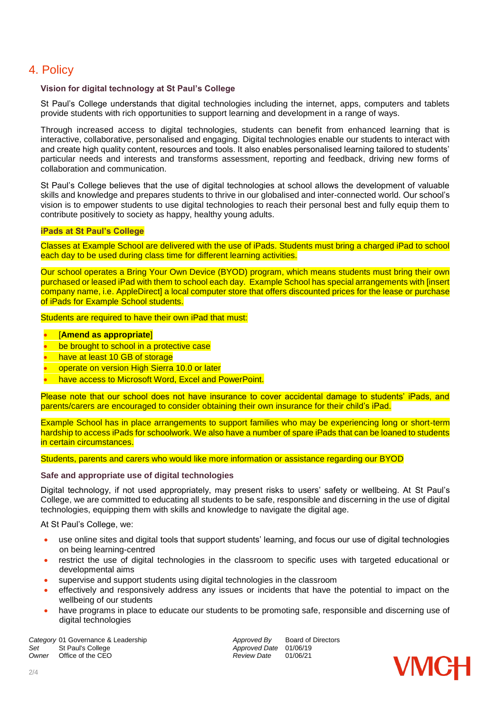## 4. Policy

#### **Vision for digital technology at St Paul's College**

St Paul's College understands that digital technologies including the internet, apps, computers and tablets provide students with rich opportunities to support learning and development in a range of ways.

Through increased access to digital technologies, students can benefit from enhanced learning that is interactive, collaborative, personalised and engaging. Digital technologies enable our students to interact with and create high quality content, resources and tools. It also enables personalised learning tailored to students' particular needs and interests and transforms assessment, reporting and feedback, driving new forms of collaboration and communication.

St Paul's College believes that the use of digital technologies at school allows the development of valuable skills and knowledge and prepares students to thrive in our globalised and inter-connected world. Our school's vision is to empower students to use digital technologies to reach their personal best and fully equip them to contribute positively to society as happy, healthy young adults.

#### **iPads at St Paul's College**

Classes at Example School are delivered with the use of iPads. Students must bring a charged iPad to school each day to be used during class time for different learning activities.

Our school operates a Bring Your Own Device (BYOD) program, which means students must bring their own purchased or leased iPad with them to school each day. Example School has special arrangements with [insert company name, i.e. AppleDirect] a local computer store that offers discounted prices for the lease or purchase of iPads for Example School students.

Students are required to have their own iPad that must:

#### [**Amend as appropriate**]

- be brought to school in a protective case
- have at least 10 GB of storage
- operate on version High Sierra 10.0 or later
- have access to Microsoft Word, Excel and PowerPoint.

Please note that our school does not have insurance to cover accidental damage to students' iPads, and parents/carers are encouraged to consider obtaining their own insurance for their child's iPad.

Example School has in place arrangements to support families who may be experiencing long or short-term hardship to access iPads for schoolwork. We also have a number of spare iPads that can be loaned to students in certain circumstances.

Students, parents and carers who would like more information or assistance regarding our BYOD

#### **Safe and appropriate use of digital technologies**

Digital technology, if not used appropriately, may present risks to users' safety or wellbeing. At St Paul's College, we are committed to educating all students to be safe, responsible and discerning in the use of digital technologies, equipping them with skills and knowledge to navigate the digital age.

At St Paul's College, we:

- use online sites and digital tools that support students' learning, and focus our use of digital technologies on being learning-centred
- restrict the use of digital technologies in the classroom to specific uses with targeted educational or developmental aims
- supervise and support students using digital technologies in the classroom
- effectively and responsively address any issues or incidents that have the potential to impact on the wellbeing of our students
- have programs in place to educate our students to be promoting safe, responsible and discerning use of digital technologies

**Category** 01 Governance & Leadership **Approved By** Board of Directors Set St Paul's College *Set* St Paul's College *Approved Date* 01/06/19<br> *Owner* Office of the CEO *Approved Date* 01/06/21 *Office of the CEO* 

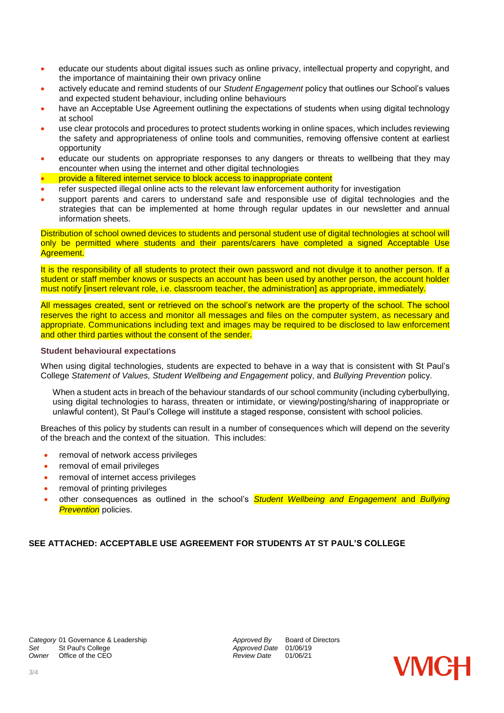- educate our students about digital issues such as online privacy, intellectual property and copyright, and the importance of maintaining their own privacy online
- actively educate and remind students of our *Student Engagement* policy that outlines our School's values and expected student behaviour, including online behaviours
- have an Acceptable Use Agreement outlining the expectations of students when using digital technology at school
- use clear protocols and procedures to protect students working in online spaces, which includes reviewing the safety and appropriateness of online tools and communities, removing offensive content at earliest opportunity
- educate our students on appropriate responses to any dangers or threats to wellbeing that they may encounter when using the internet and other digital technologies
- provide a filtered internet service to block access to inappropriate content
- refer suspected illegal online acts to the relevant law enforcement authority for investigation
- support parents and carers to understand safe and responsible use of digital technologies and the strategies that can be implemented at home through regular updates in our newsletter and annual information sheets.

Distribution of school owned devices to students and personal student use of digital technologies at school will only be permitted where students and their parents/carers have completed a signed Acceptable Use Agreement.

It is the responsibility of all students to protect their own password and not divulge it to another person. If a student or staff member knows or suspects an account has been used by another person, the account holder must notify [insert relevant role, i.e. classroom teacher, the administration] as appropriate, immediately.

All messages created, sent or retrieved on the school's network are the property of the school. The school reserves the right to access and monitor all messages and files on the computer system, as necessary and appropriate. Communications including text and images may be required to be disclosed to law enforcement and other third parties without the consent of the sender.

#### **Student behavioural expectations**

When using digital technologies, students are expected to behave in a way that is consistent with St Paul's College *Statement of Values, Student Wellbeing and Engagement* policy, and *Bullying Prevention* policy.

When a student acts in breach of the behaviour standards of our school community (including cyberbullying, using digital technologies to harass, threaten or intimidate, or viewing/posting/sharing of inappropriate or unlawful content), St Paul's College will institute a staged response, consistent with school policies.

Breaches of this policy by students can result in a number of consequences which will depend on the severity of the breach and the context of the situation. This includes:

- removal of network access privileges
- removal of email privileges
- removal of internet access privileges
- removal of printing privileges
- other consequences as outlined in the school's *Student Wellbeing and Engagement* and *Bullying* **Prevention** policies.

#### **SEE ATTACHED: ACCEPTABLE USE AGREEMENT FOR STUDENTS AT ST PAUL'S COLLEGE**